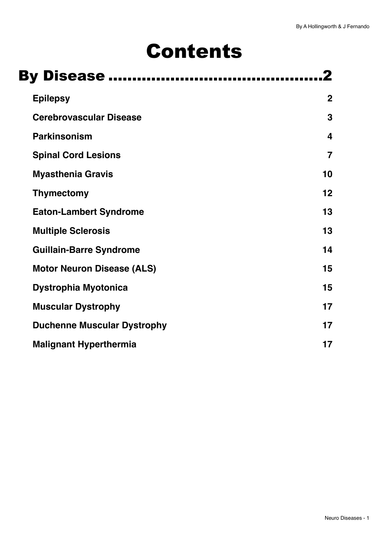# Contents

| <b>By Disease </b>                 |                |
|------------------------------------|----------------|
| <b>Epilepsy</b>                    | $\overline{2}$ |
| <b>Cerebrovascular Disease</b>     | 3              |
| <b>Parkinsonism</b>                | 4              |
| <b>Spinal Cord Lesions</b>         | $\overline{7}$ |
| <b>Myasthenia Gravis</b>           | 10             |
| <b>Thymectomy</b>                  | 12             |
| <b>Eaton-Lambert Syndrome</b>      | 13             |
| <b>Multiple Sclerosis</b>          | 13             |
| <b>Guillain-Barre Syndrome</b>     | 14             |
| <b>Motor Neuron Disease (ALS)</b>  | 15             |
| <b>Dystrophia Myotonica</b>        | 15             |
| <b>Muscular Dystrophy</b>          | 17             |
| <b>Duchenne Muscular Dystrophy</b> | 17             |
| <b>Malignant Hyperthermia</b>      | 17             |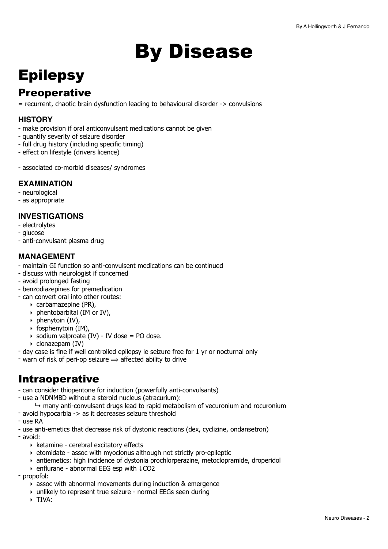# <span id="page-1-0"></span>By Disease

## <span id="page-1-1"></span>**Epilepsy**

## **Preoperative**

= recurrent, chaotic brain dysfunction leading to behavioural disorder -> convulsions

#### **HISTORY**

- make provision if oral anticonvulsant medications cannot be given
- quantify severity of seizure disorder
- full drug history (including specific timing)
- effect on lifestyle (drivers licence)
- associated co-morbid diseases/ syndromes

#### **EXAMINATION**

- neurological
- as appropriate

#### **INVESTIGATIONS**

- electrolytes
- glucose
- anti-convulsant plasma drug

#### **MANAGEMENT**

- maintain GI function so anti-convulsent medications can be continued
- discuss with neurologist if concerned
- avoid prolonged fasting
- benzodiazepines for premedication
- can convert oral into other routes:
	- ‣ carbamazepine (PR),
	- ‣ phentobarbital (IM or IV),
	- $\rightarrow$  phenytoin (IV).
	- ‣ fosphenytoin (IM),
	- $\rightarrow$  sodium valproate (IV) IV dose = PO dose.
	- ‣ clonazepam (IV)
- day case is fine if well controlled epilepsy ie seizure free for 1 yr or nocturnal only
- warn of risk of peri-op seizure  $\Rightarrow$  affected ability to drive

## Intraoperative

- can consider thiopentone for induction (powerfully anti-convulsants)
- use a NDNMBD without a steroid nucleus (atracurium):
	- $\rightarrow$  many anti-convulsant drugs lead to rapid metabolism of vecuronium and rocuronium
- avoid hypocarbia -> as it decreases seizure threshold
- use RA
- use anti-emetics that decrease risk of dystonic reactions (dex, cyclizine, ondansetron)
- avoid:
	- ‣ ketamine cerebral excitatory effects
	- ‣ etomidate assoc with myoclonus although not strictly pro-epileptic
	- ‣ antiemetics: high incidence of dystonia prochlorperazine, metoclopramide, droperidol
	- ‣ enflurane abnormal EEG esp with ↓CO2
- propofol:
	- ‣ assoc with abnormal movements during induction & emergence
	- ‣ unlikely to represent true seizure normal EEGs seen during
	- ‣ TIVA: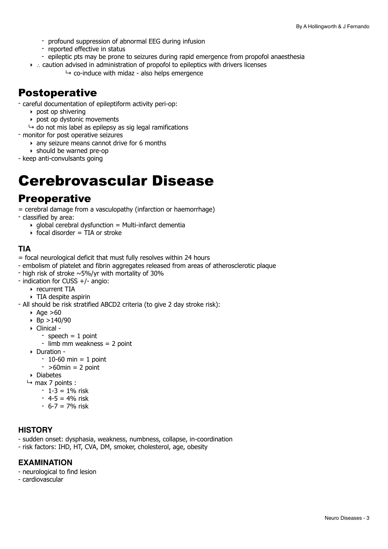- profound suppression of abnormal EEG during infusion
- reported effective in status
- epileptic pts may be prone to seizures during rapid emergence from propofol anaesthesia
- ‣ ∴ caution advised in administration of propofol to epileptics with drivers licenses
	- $\rightarrow$  co-induce with midaz also helps emergence

### Postoperative

- careful documentation of epileptiform activity peri-op:
	- ‣ post op shivering
	- ‣ post op dystonic movements
	- $\rightarrow$  do not mis label as epilepsy as sig legal ramifications
- monitor for post operative seizures
	- ‣ any seizure means cannot drive for 6 months
	- ‣ should be warned pre-op
- keep anti-convulsants going

## <span id="page-2-0"></span>Cerebrovascular Disease

### **Preoperative**

= cerebral damage from a vasculopathy (infarction or haemorrhage)

- classified by area:

- $\rightarrow$  global cerebral dysfunction = Multi-infarct dementia
	- $\rightarrow$  focal disorder = TIA or stroke

#### **TIA**

- = focal neurological deficit that must fully resolves within 24 hours
- embolism of platelet and fibrin aggregates released from areas of atherosclerotic plaque
- high risk of stroke  $\sim$ 5%/yr with mortality of 30%
- indication for CUSS +/- angio:
	- ‣ recurrent TIA
- ‣ TIA despite aspirin
- All should be risk stratified ABCD2 criteria (to give 2 day stroke risk):
	- $\triangle$  Age  $>60$
	- $\triangleright$  Bp >140/90
	- ‣ Clinical
		- speech  $= 1$  point
		- limb mm weakness = 2 point
	- ‣ Duration
		- $-10-60$  min = 1 point
		- $-$  >60min = 2 point
	- ‣ Diabetes
	- $ightharpoonup$  max 7 points :
		- $-1-3 = 1\%$  risk
		- $4 5 = 4%$  risk
		- $-6 7 = 7\%$  risk

#### **HISTORY**

- sudden onset: dysphasia, weakness, numbness, collapse, in-coordination
- risk factors: IHD, HT, CVA, DM, smoker, cholesterol, age, obesity

#### **EXAMINATION**

- neurological to find lesion
- cardiovascular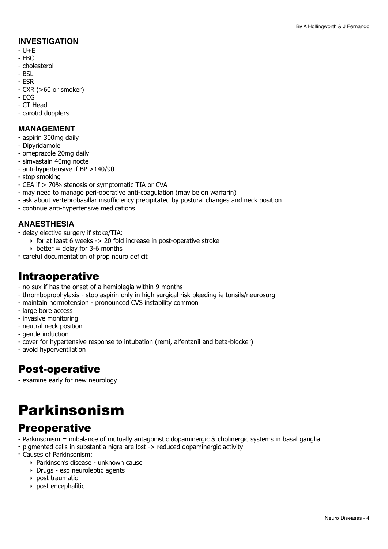#### **INVESTIGATION**

- $U + F$
- FBC
- cholesterol
- BSL
- ESR
- CXR (>60 or smoker)
- ECG
- CT Head
- carotid dopplers

#### **MANAGEMENT**

- aspirin 300mg daily
- Dipyridamole
- omeprazole 20mg daily
- simvastain 40mg nocte
- anti-hypertensive if BP >140/90
- stop smoking
- CEA if > 70% stenosis or symptomatic TIA or CVA
- may need to manage peri-operative anti-coagulation (may be on warfarin)
- ask about vertebrobasillar insufficiency precipitated by postural changes and neck position
- continue anti-hypertensive medications

#### **ANAESTHESIA**

- delay elective surgery if stoke/TIA:
	- $\overline{\phantom{a}}$  for at least 6 weeks -> 20 fold increase in post-operative stroke
	- $\rightarrow$  better = delay for 3-6 months
- careful documentation of prop neuro deficit

### Intraoperative

- no sux if has the onset of a hemiplegia within 9 months
- thromboprophylaxis stop aspirin only in high surgical risk bleeding ie tonsils/neurosurg
- maintain normotension pronounced CVS instability common
- large bore access
- invasive monitoring
- neutral neck position
- gentle induction
- cover for hypertensive response to intubation (remi, alfentanil and beta-blocker)
- avoid hyperventilation

## Post-operative

- examine early for new neurology

## <span id="page-3-0"></span>Parkinsonism

## **Preoperative**

- Parkinsonism = imbalance of mutually antagonistic dopaminergic & cholinergic systems in basal ganglia
- pigmented cells in substantia nigra are lost -> reduced dopaminergic activity
- Causes of Parkinsonism:
	- ‣ Parkinson's disease unknown cause
	- ‣ Drugs esp neuroleptic agents
	- ‣ post traumatic
	- ‣ post encephalitic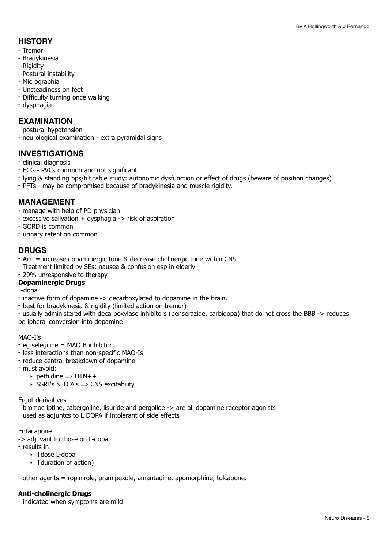#### **HISTORY**

- Tremor
- Bradykinesia
- Rigidity
- Postural instability
- Micrographia
- Unsteadiness on feet
- Difficulty turning once walking
- dysphagia

#### **EXAMINATION**

- postural hypotension
- neurological examination extra pyramidal signs

#### **INVESTIGATIONS**

- clinical diagnosis
- ECG PVCs common and not significant
- lying & standing bps/tilt table study: autonomic dysfunction or effect of drugs (beware of position changes)
- PFTs may be compromised because of bradykinesia and muscle rigidity.

#### **MANAGEMENT**

- manage with help of PD physician
- excessive salivation + dysphagia -> risk of aspiration
- GORD is common
- urinary retention common

#### **DRUGS**

- Aim = increase dopaminergic tone & decrease cholinergic tone within CNS
- Treatment limited by SEs: nausea & confusion esp in elderly
- 20% unresponsive to therapy

#### **Dopaminergic Drugs**

L-dopa

- inactive form of dopamine -> decarboxylated to dopamine in the brain.
- best for bradykinesia & rigidity (limited action on tremor)
- usually administered with decarboxylase inhibitors (benserazide, carbidopa) that do not cross the BBB -> reduces peripheral conversion into dopamine

#### MAO-I's

- eg selegiline = MAO B inhibitor
- less interactions than non-specific MAO-Is
- reduce central breakdown of dopamine
- must avoid:
	- $\rightarrow$  pethidine  $\rightarrow$  HTN++
	- $\rightarrow$  SSRI's & TCA's  $\rightarrow$  CNS excitability

Ergot derivatives

- bromocriptine, cabergoline, lisuride and pergolide -> are all dopamine receptor agonists
- used as adjuntcs to L DOPA if intolerant of side effects

#### Entacapone

- -> adjuvant to those on L-dopa
- results in
	- ‣ ↓dose L-dopa
	- ‣ ↑duration of action)

- other agents = ropinirole, pramipexole, amantadine, apomorphine, tolcapone.

#### **Anti-cholinergic Drugs**

- indicated when symptoms are mild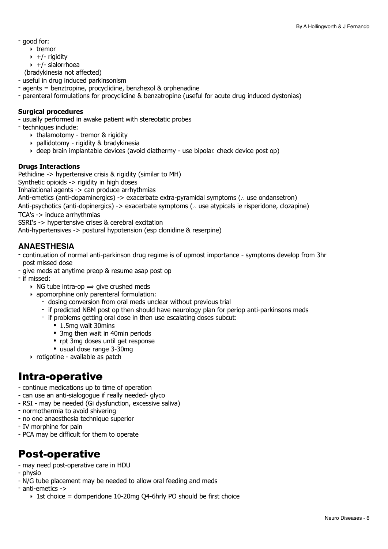- good for:
	- ‣ tremor
	- $\rightarrow +/-$  rigidity
	- $\rightarrow$  +/- sialorrhoea

(bradykinesia not affected)

- useful in drug induced parkinsonism
- agents = benztropine, procyclidine, benzhexol & orphenadine
- parenteral formulations for procyclidine & benzatropine (useful for acute drug induced dystonias)

#### **Surgical procedures**

- usually performed in awake patient with stereotatic probes

- techniques include:

- ‣ thalamotomy tremor & rigidity
- ‣ pallidotomy rigidity & bradykinesia
- ‣ deep brain implantable devices (avoid diathermy use bipolar. check device post op)

#### **Drugs Interactions**

Pethidine -> hypertensive crisis & rigidity (similar to MH)

Synthetic opioids -> rigidity in high doses

Inhalational agents -> can produce arrhythmias

Anti-emetics (anti-dopaminergics) -> exacerbate extra-pyramidal symptoms (∴ use ondansetron)

Anti-psychotics (anti-dopinergics) -> exacerbate symptoms (∴ use atypicals ie risperidone, clozapine)

TCA's -> induce arrhythmias

SSRI's -> hypertensive crises & cerebral excitation

Anti-hypertensives -> postural hypotension (esp clonidine & reserpine)

#### **ANAESTHESIA**

- continuation of normal anti-parkinson drug regime is of upmost importance symptoms develop from 3hr post missed dose
- give meds at anytime preop & resume asap post op
- if missed:
	- $\rightarrow$  NG tube intra-op  $\rightarrow$  give crushed meds
	- ‣ apomorphine only parenteral formulation:
		- dosing conversion from oral meds unclear without previous trial
		- if predicted NBM post op then should have neurology plan for periop anti-parkinsons meds
		- if problems getting oral dose in then use escalating doses subcut:
			- 1.5mg wait 30mins
			- 3mg then wait in 40min periods
			- rpt 3mg doses until get response
			- usual dose range 3-30mg
	- ‣ rotigotine available as patch

## Intra-operative

- continue medications up to time of operation
- can use an anti-sialogogue if really needed- glyco
- RSI may be needed (Gi dysfunction, excessive saliva)
- normothermia to avoid shivering
- no one anaesthesia technique superior
- IV morphine for pain
- PCA may be difficult for them to operate

## Post-operative

- may need post-operative care in HDU
- physio
- N/G tube placement may be needed to allow oral feeding and meds
- anti-emetics ->
	- $\rightarrow$  1st choice = domperidone 10-20mg O4-6hrly PO should be first choice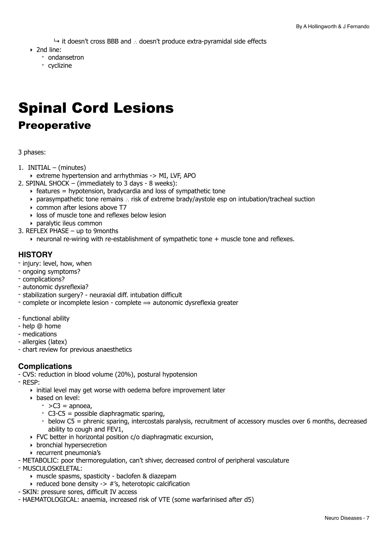↳ it doesn't cross BBB and ∴ doesn't produce extra-pyramidal side effects

- ‣ 2nd line:
	- ondansetron
	- cyclizine

## <span id="page-6-0"></span>Spinal Cord Lesions

## Preoperative

3 phases:

- 1. INITIAL (minutes)
	- ‣ extreme hypertension and arrhythmias -> MI, LVF, APO
- 2. SPINAL SHOCK (immediately to 3 days 8 weeks):
	- $\rightarrow$  features = hypotension, bradycardia and loss of sympathetic tone
	- ‣ parasympathetic tone remains ∴ risk of extreme brady/aystole esp on intubation/tracheal suction
	- ‣ common after lesions above T7
	- ‣ loss of muscle tone and reflexes below lesion
	- ‣ paralytic ileus common
- 3. REFLEX PHASE up to 9months
	- $\rightarrow$  neuronal re-wiring with re-establishment of sympathetic tone + muscle tone and reflexes.

#### **HISTORY**

- injury: level, how, when
- ongoing symptoms?
- complications?
- autonomic dysreflexia?
- stabilization surgery? neuraxial diff. intubation difficult
- complete or incomplete lesion complete  $\Rightarrow$  autonomic dysreflexia greater
- functional ability
- help @ home
- medications
- allergies (latex)
- chart review for previous anaesthetics

#### **Complications**

- CVS: reduction in blood volume (20%), postural hypotension
- RESP:
	- ‣ initial level may get worse with oedema before improvement later
	- ‣ based on level:
		- $-$  >C3 = apnoea,
		- C3-C5 = possible diaphragmatic sparing,
		- below C5 = phrenic sparing, intercostals paralysis, recruitment of accessory muscles over 6 months, decreased ability to cough and FEV1,
	- ‣ FVC better in horizontal position c/o diaphragmatic excursion,
	- ‣ bronchial hypersecretion
	- ‣ recurrent pneumonia's
- METABOLIC: poor thermoregulation, can't shiver, decreased control of peripheral vasculature
- MUSCULOSKELETAL:
	- ‣ muscle spasms, spasticity baclofen & diazepam
	- $\rightarrow$  reduced bone density -> #'s, heterotopic calcification
- SKIN: pressure sores, difficult IV access
- HAEMATOLOGICAL: anaemia, increased risk of VTE (some warfarinised after d5)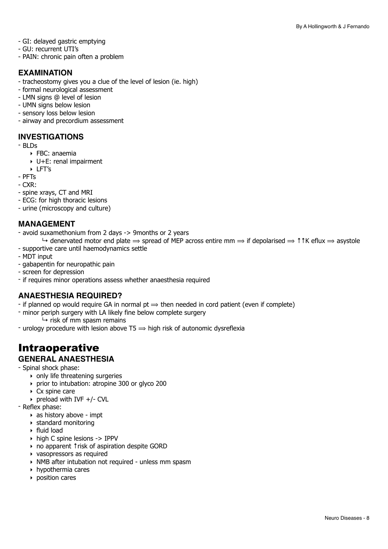- GI: delayed gastric emptying
- GU: recurrent UTI's
- PAIN: chronic pain often a problem

#### **EXAMINATION**

- tracheostomy gives you a clue of the level of lesion (ie. high)
- formal neurological assessment
- LMN signs @ level of lesion
- UMN signs below lesion
- sensory loss below lesion
- airway and precordium assessment

#### **INVESTIGATIONS**

- BLDs
	- ‣ FBC: anaemia
	- ‣ U+E: renal impairment
	- ‣ LFT's
- PFTs
- CXR:
- spine xrays, CT and MRI
- ECG: for high thoracic lesions
- urine (microscopy and culture)

#### **MANAGEMENT**

- avoid suxamethonium from 2 days -> 9months or 2 years
- $\rightarrow$  denervated motor end plate  $\rightarrow$  spread of MEP across entire mm  $\rightarrow$  if depolarised  $\rightarrow$  11K eflux  $\rightarrow$  asystole
- supportive care until haemodynamics settle
- MDT input
- gabapentin for neuropathic pain
- screen for depression
- if requires minor operations assess whether anaesthesia required

#### **ANAESTHESIA REQUIRED?**

- if planned op would require GA in normal  $pt \Rightarrow$  then needed in cord patient (even if complete)
- minor periph surgery with LA likely fine below complete surgery
	- $\mapsto$  risk of mm spasm remains
- urology procedure with lesion above T5  $\Rightarrow$  high risk of autonomic dysreflexia

## Intraoperative

#### **GENERAL ANAESTHESIA**

- Spinal shock phase:

- $\rightarrow$  only life threatening surgeries
- ‣ prior to intubation: atropine 300 or glyco 200
- ‣ Cx spine care
- $\rightarrow$  preload with IVF +/- CVL
- Reflex phase:
	- ‣ as history above impt
	- ‣ standard monitoring
	- ‣ fluid load
	- ‣ high C spine lesions -> IPPV
	- ‣ no apparent ↑risk of aspiration despite GORD
	- ‣ vasopressors as required
	- ‣ NMB after intubation not required unless mm spasm
	- ‣ hypothermia cares
	- ‣ position cares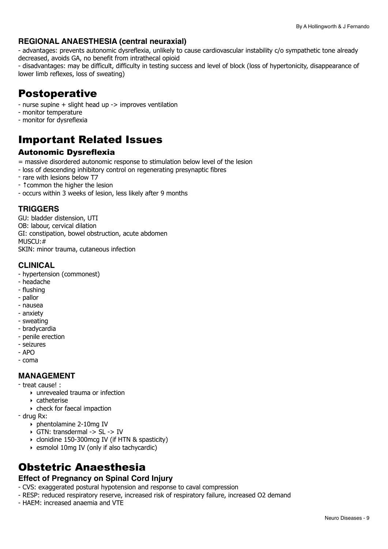#### **REGIONAL ANAESTHESIA (central neuraxial)**

- advantages: prevents autonomic dysreflexia, unlikely to cause cardiovascular instability c/o sympathetic tone already decreased, avoids GA, no benefit from intrathecal opioid

- disadvantages: may be difficult, difficulty in testing success and level of block (loss of hypertonicity, disappearance of lower limb reflexes, loss of sweating)

## Postoperative

- nurse supine + slight head up -> improves ventilation
- monitor temperature
- monitor for dysreflexia

## Important Related Issues

#### Autonomic Dysreflexia

- = massive disordered autonomic response to stimulation below level of the lesion
- loss of descending inhibitory control on regenerating presynaptic fibres
- rare with lesions below T7
- ↑common the higher the lesion
- occurs within 3 weeks of lesion, less likely after 9 months

#### **TRIGGERS**

GU: bladder distension, UTI OB: labour, cervical dilation GI: constipation, bowel obstruction, acute abdomen MUSCU:# SKIN: minor trauma, cutaneous infection

#### **CLINICAL**

- hypertension (commonest)
- headache
- flushing
- pallor
- nausea
- anxiety
- sweating
- bradycardia
- penile erection
- seizures
- $-$  APO
- coma

#### **MANAGEMENT**

- treat cause! :
	- ‣ unrevealed trauma or infection
	- ‣ catheterise
	- ‣ check for faecal impaction
- drug Rx:
	- ‣ phentolamine 2-10mg IV
	- ‣ GTN: transdermal -> SL -> IV
	- ‣ clonidine 150-300mcg IV (if HTN & spasticity)
	- ‣ esmolol 10mg IV (only if also tachycardic)

## Obstetric Anaesthesia

#### **Effect of Pregnancy on Spinal Cord Injury**

- CVS: exaggerated postural hypotension and response to caval compression
- RESP: reduced respiratory reserve, increased risk of respiratory failure, increased O2 demand
- HAEM: increased anaemia and VTE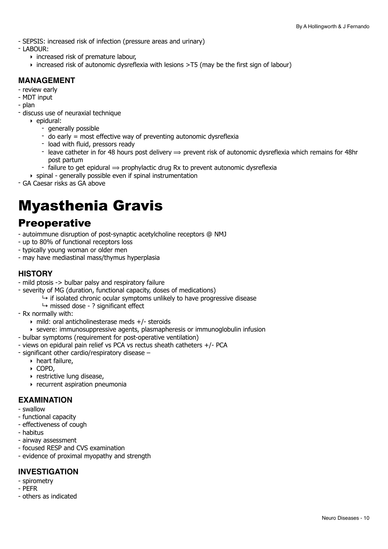- SEPSIS: increased risk of infection (pressure areas and urinary)
- LABOUR:
	- ‣ increased risk of premature labour,
	- ‣ increased risk of autonomic dysreflexia with lesions >T5 (may be the first sign of labour)

#### **MANAGEMENT**

- review early
- MDT input
- plan
- discuss use of neuraxial technique
	- ‣ epidural:
		- generally possible
		- do early = most effective way of preventing autonomic dysreflexia
		- load with fluid, pressors ready
		- leave catheter in for 48 hours post delivery  $\Rightarrow$  prevent risk of autonomic dysreflexia which remains for 48hr post partum
		- failure to get epidural  $\Rightarrow$  prophylactic drug Rx to prevent autonomic dysreflexia
	- $\rightarrow$  spinal generally possible even if spinal instrumentation
- GA Caesar risks as GA above

## <span id="page-9-0"></span>Myasthenia Gravis

### **Preoperative**

- autoimmune disruption of post-synaptic acetylcholine receptors @ NMJ
- up to 80% of functional receptors loss
- typically young woman or older men
- may have mediastinal mass/thymus hyperplasia

#### **HISTORY**

- mild ptosis -> bulbar palsy and respiratory failure
- severity of MG (duration, functional capacity, doses of medications)
	- $\rightarrow$  if isolated chronic ocular symptoms unlikely to have progressive disease
	- $\rightarrow$  missed dose ? significant effect
- Rx normally with:
	- ‣ mild: oral anticholinesterase meds +/- steroids
	- ‣ severe: immunosuppressive agents, plasmapheresis or immunoglobulin infusion
- bulbar symptoms (requirement for post-operative ventilation)
- views on epidural pain relief vs PCA vs rectus sheath catheters +/- PCA
- significant other cardio/respiratory disease
	- ‣ heart failure,
	- ‣ COPD,
	- ‣ restrictive lung disease,
	- ‣ recurrent aspiration pneumonia

#### **EXAMINATION**

- swallow
- functional capacity
- effectiveness of cough
- habitus
- airway assessment
- focused RESP and CVS examination
- evidence of proximal myopathy and strength

#### **INVESTIGATION**

- spirometry
- PEFR
- others as indicated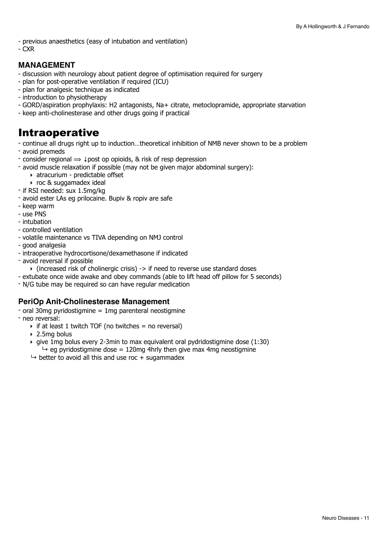- previous anaesthetics (easy of intubation and ventilation)
- CXR

#### **MANAGEMENT**

- discussion with neurology about patient degree of optimisation required for surgery
- plan for post-operative ventilation if required (ICU)
- plan for analgesic technique as indicated
- introduction to physiotherapy
- GORD/aspiration prophylaxis: H2 antagonists, Na+ citrate, metoclopramide, appropriate starvation
- keep anti-cholinesterase and other drugs going if practical

## Intraoperative

- continue all drugs right up to induction…theoretical inhibition of NMB never shown to be a problem
- avoid premeds
- consider regional  $\Rightarrow \downarrow$  post op opioids, & risk of resp depression
- avoid muscle relaxation if possible (may not be given major abdominal surgery):
	- ‣ atracurium predictable offset
	- ‣ roc & suggamadex ideal
- if RSI needed: sux 1.5mg/kg
- avoid ester LAs eg prilocaine. Bupiv & ropiv are safe
- keep warm
- use PNS
- intubation
- controlled ventilation
- volatile maintenance vs TIVA depending on NMJ control
- good analgesia
- intraoperative hydrocortisone/dexamethasone if indicated
- avoid reversal if possible
	- $\rightarrow$  (increased risk of cholinergic crisis) -> if need to reverse use standard doses
- extubate once wide awake and obey commands (able to lift head off pillow for 5 seconds)
- N/G tube may be required so can have regular medication

#### **PeriOp Anit-Cholinesterase Management**

- $-$  oral 30mg pyridostigmine = 1mg parenteral neostigmine
- neo reversal:
	- $\rightarrow$  if at least 1 twitch TOF (no twitches = no reversal)
	- ‣ 2.5mg bolus
	- $\rightarrow$  give 1mg bolus every 2-3min to max equivalent oral pydridostigmine dose (1:30)  $\rightarrow$  eg pyridostigmine dose = 120mg 4hrly then give max 4mg neostigmine
	- $\rightarrow$  better to avoid all this and use roc + sugammadex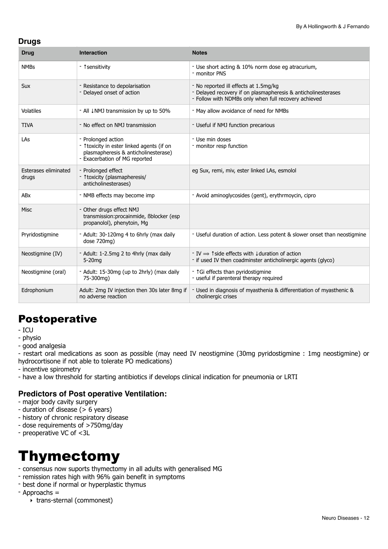#### **Drugs**

| <b>Drug</b>                   | <b>Interaction</b>                                                                                                                        | <b>Notes</b>                                                                                                                                                                          |
|-------------------------------|-------------------------------------------------------------------------------------------------------------------------------------------|---------------------------------------------------------------------------------------------------------------------------------------------------------------------------------------|
| <b>NMBs</b>                   | - 1 sensitivity                                                                                                                           | - Use short acting & 10% norm dose eg atracurium,<br>- monitor PNS                                                                                                                    |
| <b>Sux</b>                    | - Resistance to depolarisation<br>- Delayed onset of action                                                                               | - No reported ill effects at 1.5mg/kg<br>- Delayed recovery if on plasmapheresis & anticholinesterases<br>- Follow with NDMBs only when full recovery achieved                        |
| Volatiles                     | - All JNMJ transmission by up to 50%                                                                                                      | - May allow avoidance of need for NMBs                                                                                                                                                |
| <b>TIVA</b>                   | - No effect on NMJ transmission                                                                                                           | - Useful if NMJ function precarious                                                                                                                                                   |
| LAs                           | - Prolonged action<br>- 1 toxicity in ester linked agents (if on<br>plasmapheresis & anticholinesterase)<br>- Exacerbation of MG reported | - Use min doses<br>- monitor resp function                                                                                                                                            |
| Esterases eliminated<br>drugs | - Prolonged effect<br>- 1 toxicity (plasmapheresis/<br>anticholinesterases)                                                               | eg Sux, remi, miv, ester linked LAs, esmolol                                                                                                                                          |
| ABx                           | - NMB effects may become imp                                                                                                              | - Avoid aminoglycosides (gent), erythrmoycin, cipro                                                                                                                                   |
| <b>Misc</b>                   | - Other drugs effect NMJ<br>transmission: procainmide, Bblocker (esp<br>propanolol), phenytoin, Mg                                        |                                                                                                                                                                                       |
| Pryridostigmine               | - Adult: 30-120mg 4 to 6hrly (max daily<br>dose 720mg)                                                                                    | - Useful duration of action. Less potent & slower onset than neostigmine                                                                                                              |
| Neostigmine (IV)              | - Adult: 1-2.5mg 2 to 4hrly (max daily<br>$5-20$ mq                                                                                       | $\overline{\phantom{0}}$ T $\overline{\phantom{0}}$ T side effects with $\overline{\phantom{0}}$ U duration of action<br>- if used IV then coadminster anticholinergic agents (glyco) |
| Neostigmine (oral)            | - Adult: 15-30mg (up to 2hrly) (max daily<br>75-300mg)                                                                                    | - 1Gi effects than pyridostigmine<br>- useful if parenteral therapy required                                                                                                          |
| Edrophonium                   | Adult: 2mg IV injection then 30s later 8mg if<br>no adverse reaction                                                                      | Used in diagnosis of myasthenia & differentiation of myasthenic &<br>cholinergic crises                                                                                               |

## Postoperative

- ICU
- physio
- good analgesia

- restart oral medications as soon as possible (may need IV neostigmine (30mg pyridostigmine : 1mg neostigmine) or hydrocortisone if not able to tolerate PO medications)

- incentive spirometry
- have a low threshold for starting antibiotics if develops clinical indication for pneumonia or LRTI

#### **Predictors of Post operative Ventilation:**

- major body cavity surgery
- duration of disease (> 6 years)
- history of chronic respiratory disease
- dose requirements of >750mg/day
- preoperative VC of <3L

## <span id="page-11-0"></span>Thymectomy

- consensus now suports thymectomy in all adults with generalised MG
- remission rates high with 96% gain benefit in symptoms
- best done if normal or hyperplastic thymus
- Approachs =
	- ‣ trans-sternal (commonest)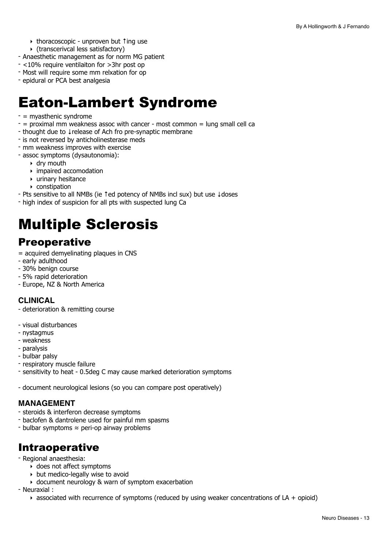- ‣ thoracoscopic unproven but ↑ing use
- ‣ (transcerivcal less satisfactory)
- Anaesthetic management as for norm MG patient
- <10% require ventilaiton for >3hr post op
- Most will require some mm relxation for op
- epidural or PCA best analgesia

## <span id="page-12-0"></span>Eaton-Lambert Syndrome

- = myasthenic syndrome
- $-$  = proximal mm weakness assoc with cancer  $-$  most common = lung small cell ca
- thought due to ↓release of Ach fro pre-synaptic membrane
- is not reversed by anticholinesterase meds
- mm weakness improves with exercise
- assoc symptoms (dysautonomia):
	- ‣ dry mouth
	- ‣ impaired accomodation
	- ‣ urinary hesitance
	- ‣ constipation
- Pts sensitive to all NMBs (ie ↑ed potency of NMBs incl sux) but use ↓doses
- high index of suspicion for all pts with suspected lung Ca

## <span id="page-12-1"></span>Multiple Sclerosis

## **Preoperative**

- = acquired demyelinating plaques in CNS
- early adulthood
- 30% benign course
- 5% rapid deterioration
- Europe, NZ & North America

#### **CLINICAL**

- deterioration & remitting course
- visual disturbances
- nystagmus
- weakness
- paralysis
- bulbar palsy
- respiratory muscle failure
- sensitivity to heat 0.5deg C may cause marked deterioration symptoms
- document neurological lesions (so you can compare post operatively)

#### **MANAGEMENT**

- steroids & interferon decrease symptoms
- baclofen & dantrolene used for painful mm spasms
- bulbar symptoms ≈ peri-op airway problems

## Intraoperative

- Regional anaesthesia:
	- ‣ does not affect symptoms
	- ‣ but medico-legally wise to avoid
	- ‣ document neurology & warn of symptom exacerbation

- Neuraxial :

 $\rightarrow$  associated with recurrence of symptoms (reduced by using weaker concentrations of LA + opioid)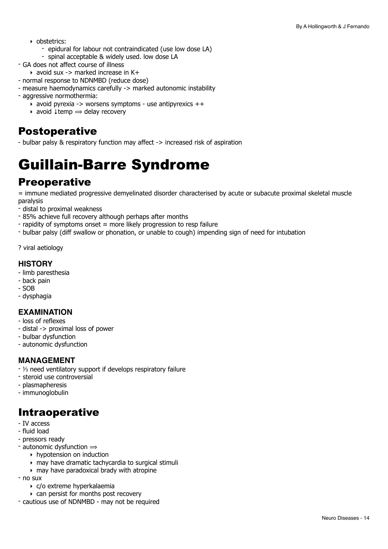- ‣ obstetrics:
	- epidural for labour not contraindicated (use low dose LA)
	- spinal acceptable & widely used. low dose LA
- GA does not affect course of illness
	- $\rightarrow$  avoid sux -> marked increase in K+
- normal response to NDNMBD (reduce dose)
- measure haemodynamics carefully -> marked autonomic instability
- aggressive normothermia:
	- avoid pyrexia -> worsens symptoms use antipyrexics  $++$
	- ‣ avoid ↓temp ⟹ delay recovery

### Postoperative

- bulbar palsy & respiratory function may affect -> increased risk of aspiration

## <span id="page-13-0"></span>Guillain-Barre Syndrome

### **Preoperative**

= immune mediated progressive demyelinated disorder characterised by acute or subacute proximal skeletal muscle paralysis

- distal to proximal weakness

- 85% achieve full recovery although perhaps after months
- rapidity of symptoms onset ≈ more likely progression to resp failure
- bulbar palsy (diff swallow or phonation, or unable to cough) impending sign of need for intubation

? viral aetiology

#### **HISTORY**

- limb paresthesia
- back pain
- SOB
- dysphagia

#### **EXAMINATION**

- loss of reflexes
- distal -> proximal loss of power
- bulbar dysfunction
- autonomic dysfunction

#### **MANAGEMENT**

- ⅓ need ventilatory support if develops respiratory failure
- steroid use controversial
- plasmapheresis
- immunoglobulin

## Intraoperative

- IV access
- fluid load
- pressors ready
- autonomic dysfunction  $\Rightarrow$ 
	- ‣ hypotension on induction
	- ‣ may have dramatic tachycardia to surgical stimuli
	- $\rightarrow$  may have paradoxical brady with atropine
- $-$  no sux
	- ‣ c/o extreme hyperkalaemia
	- ‣ can persist for months post recovery
- cautious use of NDNMBD may not be required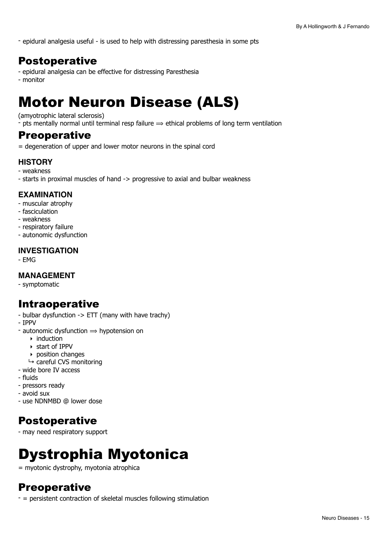- epidural analgesia useful - is used to help with distressing paresthesia in some pts

## Postoperative

- epidural analgesia can be effective for distressing Paresthesia
- monitor

## <span id="page-14-0"></span>Motor Neuron Disease (ALS)

#### (amyotrophic lateral sclerosis)

- pts mentally normal until terminal resp failure  $\Rightarrow$  ethical problems of long term ventilation

#### **Preoperative**

= degeneration of upper and lower motor neurons in the spinal cord

#### **HISTORY**

- weakness
- starts in proximal muscles of hand -> progressive to axial and bulbar weakness

#### **EXAMINATION**

- muscular atrophy
- fasciculation
- weakness
- respiratory failure
- autonomic dysfunction

#### **INVESTIGATION**

- EMG

#### **MANAGEMENT**

- symptomatic

## Intraoperative

- bulbar dysfunction -> ETT (many with have trachy)
- IPPV
- autonomic dysfunction  $\Rightarrow$  hypotension on
	- $\rightarrow$  induction
	- ‣ start of IPPV
	- ‣ position changes
	- $ightharpoonup$  careful CVS monitoring
- wide bore IV access
- fluids
- pressors ready
- avoid sux
- use NDNMBD @ lower dose

## Postoperative

- may need respiratory support

## <span id="page-14-1"></span>Dystrophia Myotonica

= myotonic dystrophy, myotonia atrophica

## **Preoperative**

- = persistent contraction of skeletal muscles following stimulation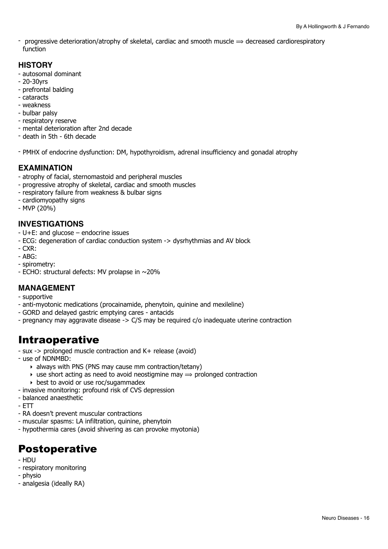- progressive deterioration/atrophy of skeletal, cardiac and smooth muscle  $\Rightarrow$  decreased cardiorespiratory function

#### **HISTORY**

- autosomal dominant
- 20-30yrs
- prefrontal balding
- cataracts
- weakness
- bulbar palsy
- respiratory reserve
- mental deterioration after 2nd decade
- death in 5th 6th decade
- PMHX of endocrine dysfunction: DM, hypothyroidism, adrenal insufficiency and gonadal atrophy

#### **EXAMINATION**

- atrophy of facial, sternomastoid and peripheral muscles
- progressive atrophy of skeletal, cardiac and smooth muscles
- respiratory failure from weakness & bulbar signs
- cardiomyopathy signs
- MVP (20%)

#### **INVESTIGATIONS**

- U+E: and glucose endocrine issues
- ECG: degeneration of cardiac conduction system -> dysrhythmias and AV block
- $-CXR$ :
- ABG:
- spirometry:
- ECHO: structural defects: MV prolapse in ~20%

#### **MANAGEMENT**

- supportive
- anti-myotonic medications (procainamide, phenytoin, quinine and mexileline)
- GORD and delayed gastric emptying cares antacids
- pregnancy may aggravate disease -> C/S may be required c/o inadequate uterine contraction

## Intraoperative

- sux -> prolonged muscle contraction and K+ release (avoid)
- use of NDNMBD:
	- ‣ always with PNS (PNS may cause mm contraction/tetany)
	- $\rightarrow$  use short acting as need to avoid neostigmine may  $\Rightarrow$  prolonged contraction
	- ‣ best to avoid or use roc/sugammadex
- invasive monitoring: profound risk of CVS depression
- balanced anaesthetic
- ETT
- RA doesn't prevent muscular contractions
- muscular spasms: LA infiltration, quinine, phenytoin
- hypothermia cares (avoid shivering as can provoke myotonia)

## Postoperative

- HDU
- respiratory monitoring
- physio
- analgesia (ideally RA)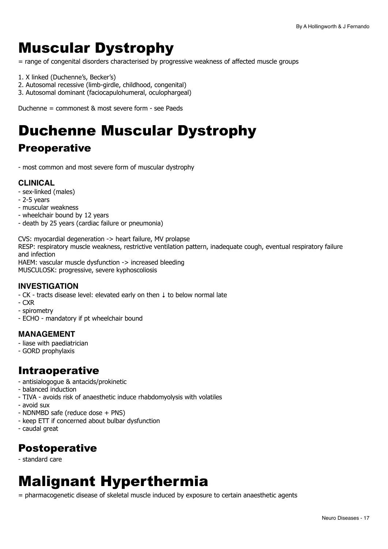## <span id="page-16-0"></span>Muscular Dystrophy

= range of congenital disorders characterised by progressive weakness of affected muscle groups

- 1. X linked (Duchenne's, Becker's)
- 2. Autosomal recessive (limb-girdle, childhood, congenital)
- 3. Autosomal dominant (faciocapulohumeral, oculophargeal)

Duchenne = commonest & most severe form - see Paeds

## <span id="page-16-1"></span>Duchenne Muscular Dystrophy

## **Preoperative**

- most common and most severe form of muscular dystrophy

#### **CLINICAL**

- sex-linked (males)
- 2-5 years
- muscular weakness
- wheelchair bound by 12 years
- death by 25 years (cardiac failure or pneumonia)

CVS: myocardial degeneration -> heart failure, MV prolapse RESP: respiratory muscle weakness, restrictive ventilation pattern, inadequate cough, eventual respiratory failure

and infection

HAEM: vascular muscle dysfunction -> increased bleeding MUSCULOSK: progressive, severe kyphoscoliosis

#### **INVESTIGATION**

- CK - tracts disease level: elevated early on then ↓ to below normal late

- CXR
- spirometry
- ECHO mandatory if pt wheelchair bound

#### **MANAGEMENT**

- liase with paediatrician
- GORD prophylaxis

## Intraoperative

- antisialogogue & antacids/prokinetic
- balanced induction
- TIVA avoids risk of anaesthetic induce rhabdomyolysis with volatiles
- avoid sux
- NDNMBD safe (reduce dose + PNS)
- keep ETT if concerned about bulbar dysfunction
- caudal great

## Postoperative

- standard care

## <span id="page-16-2"></span>Malignant Hyperthermia

= pharmacogenetic disease of skeletal muscle induced by exposure to certain anaesthetic agents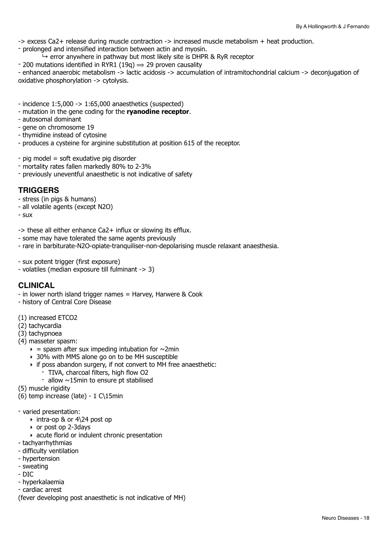-> excess Ca2+ release during muscle contraction -> increased muscle metabolism + heat production.

- prolonged and intensified interaction between actin and myosin.
- $\rightarrow$  error anywhere in pathway but most likely site is DHPR & RyR receptor
- 200 mutations identified in RYR1 (19q)  $\Rightarrow$  29 proven causality

- enhanced anaerobic metabolism -> lactic acidosis -> accumulation of intramitochondrial calcium -> deconjugation of oxidative phosphorylation -> cytolysis.

- incidence 1:5,000 -> 1:65,000 anaesthetics (suspected)
- mutation in the gene coding for the **ryanodine receptor**.
- autosomal dominant
- gene on chromosome 19
- thymidine instead of cytosine
- produces a cysteine for arginine substitution at position 615 of the receptor.
- pig model = soft exudative pig disorder
- mortality rates fallen markedly 80% to 2-3%
- previously uneventful anaesthetic is not indicative of safety

#### **TRIGGERS**

- stress (in pigs & humans)
- all volatile agents (except N2O)
- sux

-> these all either enhance Ca2+ influx or slowing its efflux.

- some may have tolerated the same agents previously
- rare in barbiturate-N2O-opiate-tranquiliser-non-depolarising muscle relaxant anaesthesia.
- sux potent trigger (first exposure)
- volatiles (median exposure till fulminant -> 3)

#### **CLINICAL**

- in lower north island trigger names = Harvey, Harwere & Cook
- history of Central Core Disease
- (1) increased ETCO2
- (2) tachycardia
- (3) tachypnoea
- (4) masseter spasm:
	- $\epsilon$  = spasm after sux impeding intubation for  $\sim$ 2min
	- ‣ 30% with MMS alone go on to be MH susceptible
	- ‣ if poss abandon surgery, if not convert to MH free anaesthetic:
		- TIVA, charcoal filters, high flow O2
			- allow  $\sim$ 15min to ensure pt stabilised
- (5) muscle rigidity
- (6) temp increase (late) 1 C\15min
- varied presentation:
	- ‣ intra-op & or 4\24 post op
	- ‣ or post op 2-3days
	- ‣ acute florid or indulent chronic presentation
- tachyarrhythmias
- difficulty ventilation
- hypertension
- sweating
- DIC
- hyperkalaemia
- cardiac arrest
- (fever developing post anaesthetic is not indicative of MH)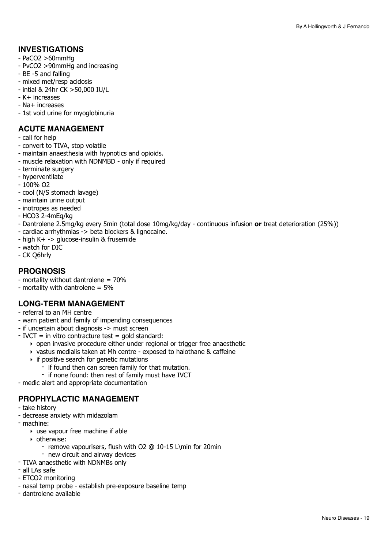#### **INVESTIGATIONS**

- PaCO2 >60mmHg
- PvCO2 >90mmHg and increasing
- BE -5 and falling
- mixed met/resp acidosis
- intial & 24hr CK >50,000 IU/L
- K+ increases
- Na+ increases
- 1st void urine for myoglobinuria

#### **ACUTE MANAGEMENT**

- call for help
- convert to TIVA, stop volatile
- maintain anaesthesia with hypnotics and opioids.
- muscle relaxation with NDNMBD only if required
- terminate surgery
- hyperventilate
- 100% O2
- cool (N/S stomach lavage)
- maintain urine output
- inotropes as needed
- HCO3 2-4mEq/kg
- Dantrolene 2.5mg/kg every 5min (total dose 10mg/kg/day continuous infusion **or** treat deterioration (25%))
- cardiac arrhythmias -> beta blockers & lignocaine.
- high K+ -> glucose-insulin & frusemide
- watch for DIC
- CK Q6hrly

#### **PROGNOSIS**

- mortality without dantrolene = 70%
- mortality with dantrolene = 5%

#### **LONG-TERM MANAGEMENT**

- referral to an MH centre
- warn patient and family of impending consequences
- if uncertain about diagnosis -> must screen
- $-$  IVCT = in vitro contracture test = gold standard:
	- ‣ open invasive procedure either under regional or trigger free anaesthetic
	- ‣ vastus medialis taken at Mh centre exposed to halothane & caffeine
	- ‣ if positive search for genetic mutations
		- if found then can screen family for that mutation.
		- if none found: then rest of family must have IVCT
- medic alert and appropriate documentation

#### **PROPHYLACTIC MANAGEMENT**

- take history
- decrease anxiety with midazolam
- machine:
	- ‣ use vapour free machine if able
	- ‣ otherwise:
		- remove vapourisers, flush with O2 @ 10-15 L\min for 20min
	- new circuit and airway devices
- TIVA anaesthetic with NDNMBs only
- all LAs safe
- ETCO2 monitoring
- nasal temp probe establish pre-exposure baseline temp
- dantrolene available